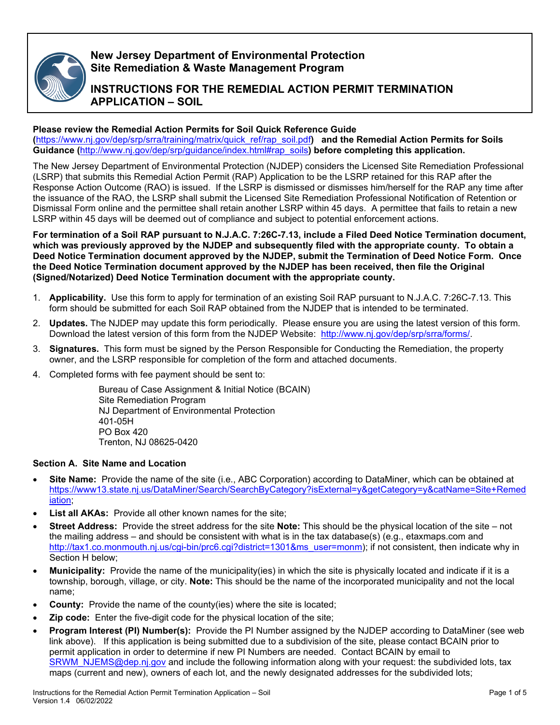

# **New Jersey Department of Environmental Protection Site Remediation & Waste Management Program**

# **INSTRUCTIONS FOR THE REMEDIAL ACTION PERMIT TERMINATION APPLICATION – SOIL**

## **Please review the Remedial Action Permits for Soil Quick Reference Guide**

**(**[https://www.nj.gov/dep/srp/srra/training/matrix/quick\\_ref/rap\\_soil.pdf](https://www.nj.gov/dep/srp/srra/training/matrix/quick_ref/rap_soil.pdf)**) and the Remedial Action Permits for Soils Guidance (**[http://www.nj.gov/dep/srp/guidance/index.html#rap\\_soils](http://www.nj.gov/dep/srp/guidance/index.html#rap_soils)**) before completing this application.**

The New Jersey Department of Environmental Protection (NJDEP) considers the Licensed Site Remediation Professional (LSRP) that submits this Remedial Action Permit (RAP) Application to be the LSRP retained for this RAP after the Response Action Outcome (RAO) is issued. If the LSRP is dismissed or dismisses him/herself for the RAP any time after the issuance of the RAO, the LSRP shall submit the Licensed Site Remediation Professional Notification of Retention or Dismissal Form online and the permittee shall retain another LSRP within 45 days. A permittee that fails to retain a new LSRP within 45 days will be deemed out of compliance and subject to potential enforcement actions.

**For termination of a Soil RAP pursuant to N.J.A.C. 7:26C-7.13, include a Filed Deed Notice Termination document, which was previously approved by the NJDEP and subsequently filed with the appropriate county. To obtain a Deed Notice Termination document approved by the NJDEP, submit the Termination of Deed Notice Form. Once the Deed Notice Termination document approved by the NJDEP has been received, then file the Original (Signed/Notarized) Deed Notice Termination document with the appropriate county.** 

- 1. **Applicability.** Use this form to apply for termination of an existing Soil RAP pursuant to N.J.A.C. 7:26C-7.13. This form should be submitted for each Soil RAP obtained from the NJDEP that is intended to be terminated.
- 2. **Updates.** The NJDEP may update this form periodically. Please ensure you are using the latest version of this form. Download the latest version of this form from the NJDEP Website: [http://www.nj.gov/dep/srp/srra/forms/.](http://www.nj.gov/dep/srp/srra/forms/)
- 3. **Signatures.** This form must be signed by the Person Responsible for Conducting the Remediation, the property owner, and the LSRP responsible for completion of the form and attached documents.
- 4. Completed forms with fee payment should be sent to:

Bureau of Case Assignment & Initial Notice (BCAIN) Site Remediation Program NJ Department of Environmental Protection 401-05H PO Box 420 Trenton, NJ 08625-0420

## **Section A. Site Name and Location**

- **Site Name:** Provide the name of the site (i.e., ABC Corporation) according to DataMiner, which can be obtained at [https://www13.state.nj.us/DataMiner/Search/SearchByCategory?isExternal=y&getCategory=y&catName=Site+Remed](https://www13.state.nj.us/DataMiner/Search/SearchByCategory?isExternal=y&getCategory=y&catName=Site+Remediation) [iation;](https://www13.state.nj.us/DataMiner/Search/SearchByCategory?isExternal=y&getCategory=y&catName=Site+Remediation)
- List all AKAs: Provide all other known names for the site;
- **Street Address:** Provide the street address for the site **Note:** This should be the physical location of the site not the mailing address – and should be consistent with what is in the tax database(s) (e.g., etaxmaps.com and [http://tax1.co.monmouth.nj.us/cgi-bin/prc6.cgi?district=1301&ms\\_user=monm\)](http://tax1.co.monmouth.nj.us/cgi-bin/prc6.cgi?district=1301&ms_user=monm); if not consistent, then indicate why in Section H below;
- **Municipality:** Provide the name of the municipality(ies) in which the site is physically located and indicate if it is a township, borough, village, or city. **Note:** This should be the name of the incorporated municipality and not the local name;
- **County:** Provide the name of the county(ies) where the site is located;
- **Zip code:** Enter the five-digit code for the physical location of the site;
- **Program Interest (PI) Number(s):** Provide the PI Number assigned by the NJDEP according to DataMiner (see web link above). If this application is being submitted due to a subdivision of the site, please contact BCAIN prior to permit application in order to determine if new PI Numbers are needed. Contact BCAIN by email to [SRWM\\_NJEMS@dep.nj.gov](mailto:SRWM_NJEMS@dep.nj.gov) and include the following information along with your request: the subdivided lots, tax maps (current and new), owners of each lot, and the newly designated addresses for the subdivided lots;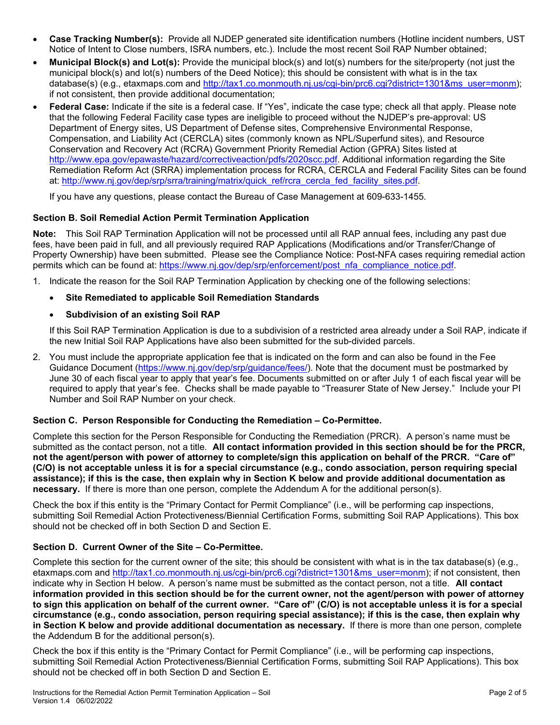- **Case Tracking Number(s):** Provide all NJDEP generated site identification numbers (Hotline incident numbers, UST Notice of Intent to Close numbers, ISRA numbers, etc.). Include the most recent Soil RAP Number obtained;
- **Municipal Block(s) and Lot(s):** Provide the municipal block(s) and lot(s) numbers for the site/property (not just the municipal block(s) and lot(s) numbers of the Deed Notice); this should be consistent with what is in the tax database(s) (e.g., etaxmaps.com and [http://tax1.co.monmouth.nj.us/cgi-bin/prc6.cgi?district=1301&ms\\_user=monm\)](http://tax1.co.monmouth.nj.us/cgi-bin/prc6.cgi?district=1301&ms_user=monm); if not consistent, then provide additional documentation;
- **Federal Case:** Indicate if the site is a federal case. If "Yes", indicate the case type; check all that apply. Please note that the following Federal Facility case types are ineligible to proceed without the NJDEP's pre-approval: US Department of Energy sites, US Department of Defense sites, Comprehensive Environmental Response, Compensation, and Liability Act (CERCLA) sites (commonly known as NPL/Superfund sites), and Resource Conservation and Recovery Act (RCRA) Government Priority Remedial Action (GPRA) Sites listed at [http://www.epa.gov/epawaste/hazard/correctiveaction/pdfs/2020scc.pdf.](http://www.epa.gov/epawaste/hazard/correctiveaction/pdfs/2020scc.pdf) Additional information regarding the Site Remediation Reform Act (SRRA) implementation process for RCRA, CERCLA and Federal Facility Sites can be found at: [http://www.nj.gov/dep/srp/srra/training/matrix/quick\\_ref/rcra\\_cercla\\_fed\\_facility\\_sites.pdf.](http://www.nj.gov/dep/srp/srra/training/matrix/quick_ref/rcra_cercla_fed_facility_sites.pdf)

If you have any questions, please contact the Bureau of Case Management at 609-633-1455.

## **Section B. Soil Remedial Action Permit Termination Application**

**Note:** This Soil RAP Termination Application will not be processed until all RAP annual fees, including any past due fees, have been paid in full, and all previously required RAP Applications (Modifications and/or Transfer/Change of Property Ownership) have been submitted. Please see the Compliance Notice: Post-NFA cases requiring remedial action permits which can be found at: [https://www.nj.gov/dep/srp/enforcement/post\\_nfa\\_compliance\\_notice.pdf.](https://www.nj.gov/dep/srp/enforcement/post_nfa_compliance_notice.pdf)

1. Indicate the reason for the Soil RAP Termination Application by checking one of the following selections:

## • **Site Remediated to applicable Soil Remediation Standards**

## • **Subdivision of an existing Soil RAP**

If this Soil RAP Termination Application is due to a subdivision of a restricted area already under a Soil RAP, indicate if the new Initial Soil RAP Applications have also been submitted for the sub-divided parcels.

2. You must include the appropriate application fee that is indicated on the form and can also be found in the Fee Guidance Document [\(https://www.nj.gov/dep/srp/guidance/fees/\)](https://www.nj.gov/dep/srp/guidance/fees/). Note that the document must be postmarked by June 30 of each fiscal year to apply that year's fee. Documents submitted on or after July 1 of each fiscal year will be required to apply that year's fee. Checks shall be made payable to "Treasurer State of New Jersey." Include your PI Number and Soil RAP Number on your check.

## **Section C. Person Responsible for Conducting the Remediation – Co-Permittee.**

Complete this section for the Person Responsible for Conducting the Remediation (PRCR). A person's name must be submitted as the contact person, not a title. **All contact information provided in this section should be for the PRCR, not the agent/person with power of attorney to complete/sign this application on behalf of the PRCR. "Care of" (C/O) is not acceptable unless it is for a special circumstance (e.g., condo association, person requiring special assistance); if this is the case, then explain why in Section K below and provide additional documentation as necessary.** If there is more than one person, complete the Addendum A for the additional person(s).

Check the box if this entity is the "Primary Contact for Permit Compliance" (i.e., will be performing cap inspections, submitting Soil Remedial Action Protectiveness/Biennial Certification Forms, submitting Soil RAP Applications). This box should not be checked off in both Section D and Section E.

## **Section D. Current Owner of the Site – Co-Permittee.**

Complete this section for the current owner of the site; this should be consistent with what is in the tax database(s) (e.g., etaxmaps.com and [http://tax1.co.monmouth.nj.us/cgi-bin/prc6.cgi?district=1301&ms\\_user=monm\)](http://tax1.co.monmouth.nj.us/cgi-bin/prc6.cgi?district=1301&ms_user=monm); if not consistent, then indicate why in Section H below. A person's name must be submitted as the contact person, not a title. **All contact information provided in this section should be for the current owner, not the agent/person with power of attorney to sign this application on behalf of the current owner. "Care of" (C/O) is not acceptable unless it is for a special circumstance (e.g., condo association, person requiring special assistance); if this is the case, then explain why in Section K below and provide additional documentation as necessary.** If there is more than one person, complete the Addendum B for the additional person(s).

Check the box if this entity is the "Primary Contact for Permit Compliance" (i.e., will be performing cap inspections, submitting Soil Remedial Action Protectiveness/Biennial Certification Forms, submitting Soil RAP Applications). This box should not be checked off in both Section D and Section E.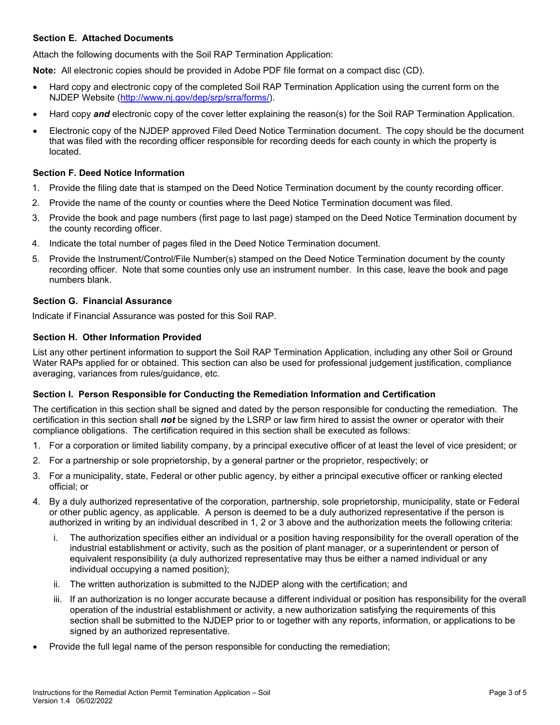#### **Section E. Attached Documents**

Attach the following documents with the Soil RAP Termination Application:

**Note:** All electronic copies should be provided in Adobe PDF file format on a compact disc (CD).

- Hard copy and electronic copy of the completed Soil RAP Termination Application using the current form on the NJDEP Website [\(http://www.nj.gov/dep/srp/srra/forms/\)](http://www.nj.gov/dep/srp/srra/forms/).
- Hard copy *and* electronic copy of the cover letter explaining the reason(s) for the Soil RAP Termination Application.
- Electronic copy of the NJDEP approved Filed Deed Notice Termination document. The copy should be the document that was filed with the recording officer responsible for recording deeds for each county in which the property is located.

#### **Section F. Deed Notice Information**

- 1. Provide the filing date that is stamped on the Deed Notice Termination document by the county recording officer.
- 2. Provide the name of the county or counties where the Deed Notice Termination document was filed.
- 3. Provide the book and page numbers (first page to last page) stamped on the Deed Notice Termination document by the county recording officer.
- 4. Indicate the total number of pages filed in the Deed Notice Termination document.
- 5. Provide the Instrument/Control/File Number(s) stamped on the Deed Notice Termination document by the county recording officer. Note that some counties only use an instrument number. In this case, leave the book and page numbers blank.

#### **Section G. Financial Assurance**

Indicate if Financial Assurance was posted for this Soil RAP.

#### **Section H. Other Information Provided**

List any other pertinent information to support the Soil RAP Termination Application, including any other Soil or Ground Water RAPs applied for or obtained. This section can also be used for professional judgement justification, compliance averaging, variances from rules/guidance, etc.

#### **Section I. Person Responsible for Conducting the Remediation Information and Certification**

The certification in this section shall be signed and dated by the person responsible for conducting the remediation. The certification in this section shall *not* be signed by the LSRP or law firm hired to assist the owner or operator with their compliance obligations. The certification required in this section shall be executed as follows:

- 1. For a corporation or limited liability company, by a principal executive officer of at least the level of vice president; or
- 2. For a partnership or sole proprietorship, by a general partner or the proprietor, respectively; or
- 3. For a municipality, state, Federal or other public agency, by either a principal executive officer or ranking elected official; or
- 4. By a duly authorized representative of the corporation, partnership, sole proprietorship, municipality, state or Federal or other public agency, as applicable. A person is deemed to be a duly authorized representative if the person is authorized in writing by an individual described in 1, 2 or 3 above and the authorization meets the following criteria:
	- i. The authorization specifies either an individual or a position having responsibility for the overall operation of the industrial establishment or activity, such as the position of plant manager, or a superintendent or person of equivalent responsibility (a duly authorized representative may thus be either a named individual or any individual occupying a named position);
	- ii. The written authorization is submitted to the NJDEP along with the certification; and
	- iii. If an authorization is no longer accurate because a different individual or position has responsibility for the overall operation of the industrial establishment or activity, a new authorization satisfying the requirements of this section shall be submitted to the NJDEP prior to or together with any reports, information, or applications to be signed by an authorized representative.
- Provide the full legal name of the person responsible for conducting the remediation;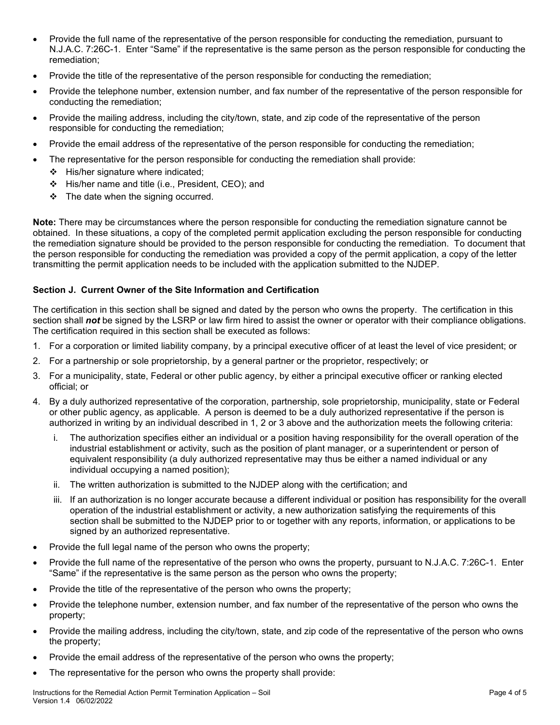- Provide the full name of the representative of the person responsible for conducting the remediation, pursuant to N.J.A.C. 7:26C-1. Enter "Same" if the representative is the same person as the person responsible for conducting the remediation;
- Provide the title of the representative of the person responsible for conducting the remediation;
- Provide the telephone number, extension number, and fax number of the representative of the person responsible for conducting the remediation;
- Provide the mailing address, including the city/town, state, and zip code of the representative of the person responsible for conducting the remediation;
- Provide the email address of the representative of the person responsible for conducting the remediation;
- The representative for the person responsible for conducting the remediation shall provide:
	- $\div$  His/her signature where indicated;
	- His/her name and title (i.e., President, CEO); and
	- $\div$  The date when the signing occurred.

**Note:** There may be circumstances where the person responsible for conducting the remediation signature cannot be obtained. In these situations, a copy of the completed permit application excluding the person responsible for conducting the remediation signature should be provided to the person responsible for conducting the remediation. To document that the person responsible for conducting the remediation was provided a copy of the permit application, a copy of the letter transmitting the permit application needs to be included with the application submitted to the NJDEP.

#### **Section J. Current Owner of the Site Information and Certification**

The certification in this section shall be signed and dated by the person who owns the property. The certification in this section shall **not** be signed by the LSRP or law firm hired to assist the owner or operator with their compliance obligations. The certification required in this section shall be executed as follows:

- 1. For a corporation or limited liability company, by a principal executive officer of at least the level of vice president; or
- 2. For a partnership or sole proprietorship, by a general partner or the proprietor, respectively; or
- 3. For a municipality, state, Federal or other public agency, by either a principal executive officer or ranking elected official; or
- 4. By a duly authorized representative of the corporation, partnership, sole proprietorship, municipality, state or Federal or other public agency, as applicable. A person is deemed to be a duly authorized representative if the person is authorized in writing by an individual described in 1, 2 or 3 above and the authorization meets the following criteria:
	- i. The authorization specifies either an individual or a position having responsibility for the overall operation of the industrial establishment or activity, such as the position of plant manager, or a superintendent or person of equivalent responsibility (a duly authorized representative may thus be either a named individual or any individual occupying a named position);
	- ii. The written authorization is submitted to the NJDEP along with the certification; and
	- iii. If an authorization is no longer accurate because a different individual or position has responsibility for the overall operation of the industrial establishment or activity, a new authorization satisfying the requirements of this section shall be submitted to the NJDEP prior to or together with any reports, information, or applications to be signed by an authorized representative.
- Provide the full legal name of the person who owns the property;
- Provide the full name of the representative of the person who owns the property, pursuant to N.J.A.C. 7:26C-1. Enter "Same" if the representative is the same person as the person who owns the property;
- Provide the title of the representative of the person who owns the property;
- Provide the telephone number, extension number, and fax number of the representative of the person who owns the property;
- Provide the mailing address, including the city/town, state, and zip code of the representative of the person who owns the property;
- Provide the email address of the representative of the person who owns the property;
- The representative for the person who owns the property shall provide: